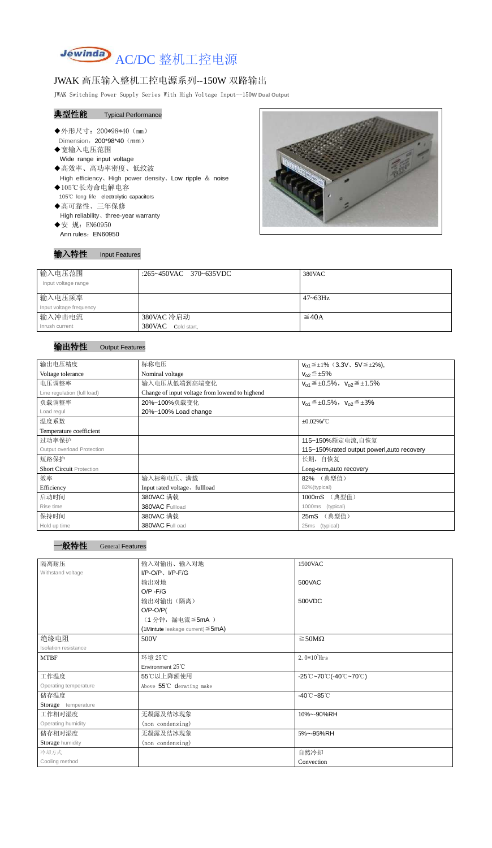

# JWAK 高压输入整机工控电源系列--150W 双路输出

JWAK Switching Power Supply Series With High Voltage Input--150**W Dual Output**

# 典型性能 Typical Performance

- Ī ◆外形尺寸: 200\*98\*40 (mm) Dimension: 200\*98\*40 (mm)
- ◆宽输入电压范围
	- Wide range input voltage
- ◆高效率、高功率密度、低纹波 High efficiency、High power density、Low ripple & noise ◆105℃长寿命电解电容
- 105℃ long life electrolytic capacitors
- ◆高可靠性、三年保修 High reliability、three-year warranty
- ◆安 规: EN60950 Ann rules: EN60950

## 输入特性 Input Features



| 输入电压范围<br>Input voltage range | :265~450VAC 370~635VDC | 380VAC          |
|-------------------------------|------------------------|-----------------|
| 输入电压频率                        |                        | $47 \sim 63$ Hz |
| Input voltage frequency       |                        |                 |
| 输入冲击电流                        | 380VAC 冷启动             | $\leq$ 40A      |
| Inrush current                | 380VAC<br>Cold start,  |                 |

#### 输出特性 Output Features

| 输出电压精度                          | 标称电压                                           | $V_{01} \leq \pm 1\%$ (3.3V, 5V $\leq \pm 2\%$ ), |  |  |
|---------------------------------|------------------------------------------------|---------------------------------------------------|--|--|
| Voltage tolerance               | Nominal voltage                                | $V_{02} \leq \pm 5\%$                             |  |  |
| 电压调整率                           | 输入电压从低端到高端变化                                   | $V_{01} \leq \pm 0.5\%$ , $V_{02} \leq \pm 1.5\%$ |  |  |
| Line regulation (full load)     | Change of input voltage from lowend to highend |                                                   |  |  |
| 负载调整率                           | 20%~100%负载变化                                   | $V_{01} \leq \pm 0.5\%$ , $V_{02} \leq \pm 3\%$   |  |  |
| Load regul                      | 20%~100% Load change                           |                                                   |  |  |
| 温度系数                            | $\pm 0.02\%$ /°C                               |                                                   |  |  |
| Temperature coefficient         |                                                |                                                   |  |  |
| 过功率保护                           |                                                | 115~150%额定电流,自恢复                                  |  |  |
| Output overload Protection      | 115~150% rated output powerl, auto recovery    |                                                   |  |  |
| 短路保护                            |                                                | 长期, 自恢复                                           |  |  |
| <b>Short Circuit Protection</b> |                                                | Long-term, auto recovery                          |  |  |
| 效率                              | 输入标称电压、满载                                      | 82% (典型值)                                         |  |  |
| Efficiency                      | Input rated voltage, fullload                  | 82%(typical)                                      |  |  |
| 启动时间                            | 380VAC 满载                                      | (典型值)<br>1000mS                                   |  |  |
| Rise time                       | 380VAC Fullload                                | 1000ms (typical)                                  |  |  |
| 保持时间                            | 380VAC 满载                                      | 25mS (典型值)                                        |  |  |
| Hold up time                    | 380VAC Full oad                                | 25ms<br>(typical)                                 |  |  |

| 隔离耐压                  | 输入对输出、输入对地                                | 1500VAC                                                                               |  |
|-----------------------|-------------------------------------------|---------------------------------------------------------------------------------------|--|
| Withstand voltage     | $I/P-O/P$ , $I/P-F/G$                     |                                                                                       |  |
|                       | 输出对地                                      | 500VAC                                                                                |  |
|                       | $O/P - F/G$                               |                                                                                       |  |
|                       | 输出对输出(隔离)                                 | 500VDC                                                                                |  |
|                       | $O/P-O/P($                                |                                                                                       |  |
|                       | (1分钟,漏电流 ≦5mA)                            |                                                                                       |  |
|                       | $(1$ Mintute leakage current) $\leq$ 5mA) |                                                                                       |  |
| 绝缘电阻                  | 500V                                      | $\geq$ 50M $\Omega$                                                                   |  |
| Isolation resistance  |                                           |                                                                                       |  |
| <b>MTBF</b>           | 环境 25℃                                    | $2.0*105$ Hrs                                                                         |  |
|                       | Environment $25^{\circ}$ C                |                                                                                       |  |
| 工作温度                  | 55℃以上降额使用                                 | $-25^{\circ}\text{C}-70^{\circ}\text{C}$ (-40 $^{\circ}\text{C}-70^{\circ}\text{C}$ ) |  |
| Operating temperature | Above 55 <sup>°</sup> C derating make     |                                                                                       |  |
| 储存温度                  |                                           | $-40^{\circ}$ C $-85^{\circ}$ C                                                       |  |
| Storage temperature   |                                           |                                                                                       |  |
| 工作相对湿度                | 无凝露及结冰现象                                  | 10%~-90%RH                                                                            |  |
| Operating humidity    | (non condensing)                          |                                                                                       |  |
| 储存相对湿度                | 无凝露及结冰现象                                  | 5%~-95%RH                                                                             |  |
| Storage humidity      | (non condensing)                          |                                                                                       |  |
| 冷却方式                  |                                           | 自然冷却                                                                                  |  |
| Cooling method        |                                           | Convection                                                                            |  |